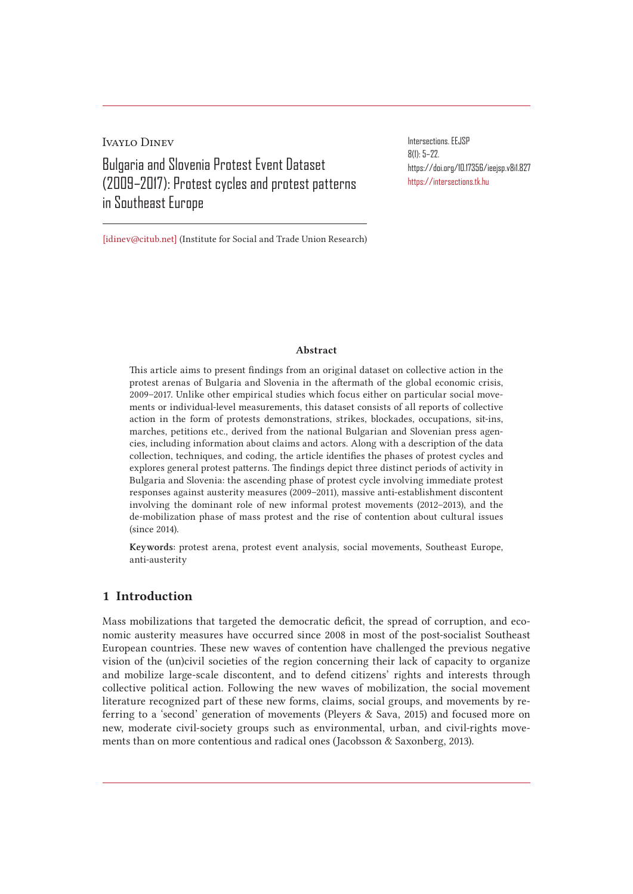Ivaylo Dinev Bulgaria and Slovenia Protest Event Dataset (2009–2017): Protest cycles and protest patterns in Southeast Europe

Intersections. EEJSP 8(1): 5–22. https://doi.org/10.17356/ieejsp.v8i1.827 https://intersections.tk.hu

[idinev@citub.net] (Institute for Social and Trade Union Research)

#### Abstract

This article aims to present findings from an original dataset on collective action in the protest arenas of Bulgaria and Slovenia in the aftermath of the global economic crisis, 2009–2017. Unlike other empirical studies which focus either on particular social movements or individual-level measurements, this dataset consists of all reports of collective action in the form of protests demonstrations, strikes, blockades, occupations, sit-ins, marches, petitions etc., derived from the national Bulgarian and Slovenian press agencies, including information about claims and actors. Along with a description of the data collection, techniques, and coding, the article identifies the phases of protest cycles and explores general protest patterns. The findings depict three distinct periods of activity in Bulgaria and Slovenia: the ascending phase of protest cycle involving immediate protest responses against austerity measures (2009–2011), massive anti-establishment discontent involving the dominant role of new informal protest movements (2012–2013), and the de-mobilization phase of mass protest and the rise of contention about cultural issues (since 2014).

Keywords: protest arena, protest event analysis, social movements, Southeast Europe, anti-austerity

## 1 Introduction

Mass mobilizations that targeted the democratic deficit, the spread of corruption, and economic austerity measures have occurred since 2008 in most of the post-socialist Southeast European countries. These new waves of contention have challenged the previous negative vision of the (un)civil societies of the region concerning their lack of capacity to organize and mobilize large-scale discontent, and to defend citizens' rights and interests through collective political action. Following the new waves of mobilization, the social movement literature recognized part of these new forms, claims, social groups, and movements by referring to a 'second' generation of movements (Pleyers & Sava, 2015) and focused more on new, moderate civil-society groups such as environmental, urban, and civil-rights movements than on more contentious and radical ones (Jacobsson & Saxonberg, 2013).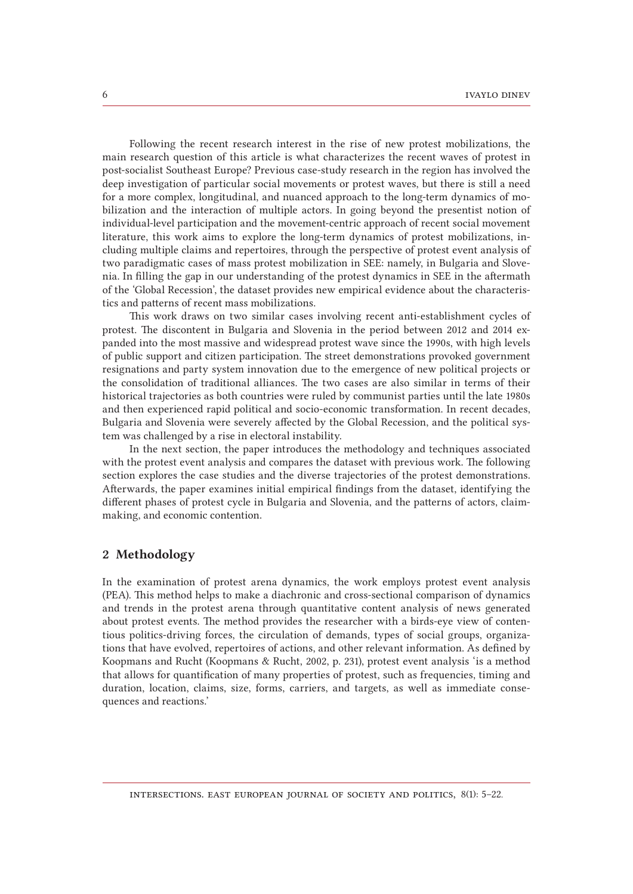Following the recent research interest in the rise of new protest mobilizations, the main research question of this article is what characterizes the recent waves of protest in post-socialist Southeast Europe? Previous case-study research in the region has involved the deep investigation of particular social movements or protest waves, but there is still a need for a more complex, longitudinal, and nuanced approach to the long-term dynamics of mobilization and the interaction of multiple actors. In going beyond the presentist notion of individual-level participation and the movement-centric approach of recent social movement literature, this work aims to explore the long-term dynamics of protest mobilizations, including multiple claims and repertoires, through the perspective of protest event analysis of two paradigmatic cases of mass protest mobilization in SEE: namely, in Bulgaria and Slovenia. In filling the gap in our understanding of the protest dynamics in SEE in the aftermath of the 'Global Recession', the dataset provides new empirical evidence about the characteristics and patterns of recent mass mobilizations.

This work draws on two similar cases involving recent anti-establishment cycles of protest. The discontent in Bulgaria and Slovenia in the period between 2012 and 2014 expanded into the most massive and widespread protest wave since the 1990s, with high levels of public support and citizen participation. The street demonstrations provoked government resignations and party system innovation due to the emergence of new political projects or the consolidation of traditional alliances. The two cases are also similar in terms of their historical trajectories as both countries were ruled by communist parties until the late 1980s and then experienced rapid political and socio-economic transformation. In recent decades, Bulgaria and Slovenia were severely affected by the Global Recession, and the political system was challenged by a rise in electoral instability.

In the next section, the paper introduces the methodology and techniques associated with the protest event analysis and compares the dataset with previous work. The following section explores the case studies and the diverse trajectories of the protest demonstrations. Afterwards, the paper examines initial empirical findings from the dataset, identifying the different phases of protest cycle in Bulgaria and Slovenia, and the patterns of actors, claimmaking, and economic contention.

# 2 Methodology

In the examination of protest arena dynamics, the work employs protest event analysis (PEA). This method helps to make a diachronic and cross-sectional comparison of dynamics and trends in the protest arena through quantitative content analysis of news generated about protest events. The method provides the researcher with a birds-eye view of contentious politics-driving forces, the circulation of demands, types of social groups, organizations that have evolved, repertoires of actions, and other relevant information. As defined by Koopmans and Rucht (Koopmans & Rucht, 2002, p. 231), protest event analysis 'is a method that allows for quantification of many properties of protest, such as frequencies, timing and duration, location, claims, size, forms, carriers, and targets, as well as immediate consequences and reactions.'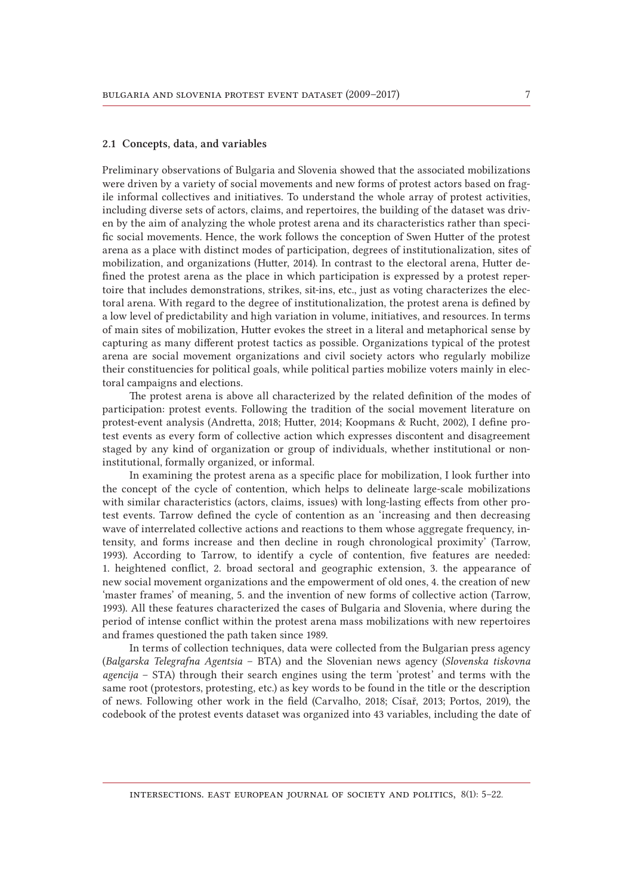#### 2.1 Concepts, data, and variables

Preliminary observations of Bulgaria and Slovenia showed that the associated mobilizations were driven by a variety of social movements and new forms of protest actors based on fragile informal collectives and initiatives. To understand the whole array of protest activities, including diverse sets of actors, claims, and repertoires, the building of the dataset was driven by the aim of analyzing the whole protest arena and its characteristics rather than specific social movements. Hence, the work follows the conception of Swen Hutter of the protest arena as a place with distinct modes of participation, degrees of institutionalization, sites of mobilization, and organizations (Hutter, 2014). In contrast to the electoral arena, Hutter defined the protest arena as the place in which participation is expressed by a protest repertoire that includes demonstrations, strikes, sit-ins, etc., just as voting characterizes the electoral arena. With regard to the degree of institutionalization, the protest arena is defined by a low level of predictability and high variation in volume, initiatives, and resources. In terms of main sites of mobilization, Hutter evokes the street in a literal and metaphorical sense by capturing as many different protest tactics as possible. Organizations typical of the protest arena are social movement organizations and civil society actors who regularly mobilize their constituencies for political goals, while political parties mobilize voters mainly in electoral campaigns and elections.

The protest arena is above all characterized by the related definition of the modes of participation: protest events. Following the tradition of the social movement literature on protest-event analysis (Andretta, 2018; Hutter, 2014; Koopmans & Rucht, 2002), I define protest events as every form of collective action which expresses discontent and disagreement staged by any kind of organization or group of individuals, whether institutional or noninstitutional, formally organized, or informal.

In examining the protest arena as a specific place for mobilization, I look further into the concept of the cycle of contention, which helps to delineate large-scale mobilizations with similar characteristics (actors, claims, issues) with long-lasting effects from other protest events. Tarrow defined the cycle of contention as an 'increasing and then decreasing wave of interrelated collective actions and reactions to them whose aggregate frequency, intensity, and forms increase and then decline in rough chronological proximity' (Tarrow, 1993). According to Tarrow, to identify a cycle of contention, five features are needed: 1. heightened conflict, 2. broad sectoral and geographic extension, 3. the appearance of new social movement organizations and the empowerment of old ones, 4. the creation of new 'master frames' of meaning, 5. and the invention of new forms of collective action (Tarrow, 1993). All these features characterized the cases of Bulgaria and Slovenia, where during the period of intense conflict within the protest arena mass mobilizations with new repertoires and frames questioned the path taken since 1989.

In terms of collection techniques, data were collected from the Bulgarian press agency (*Balgarska Telegrafna Agentsia* – BTA) and the Slovenian news agency (*Slovenska tiskovna agencija* – STA) through their search engines using the term 'protest' and terms with the same root (protestors, protesting, etc.) as key words to be found in the title or the description of news. Following other work in the field (Carvalho, 2018; Císař, 2013; Portos, 2019), the codebook of the protest events dataset was organized into 43 variables, including the date of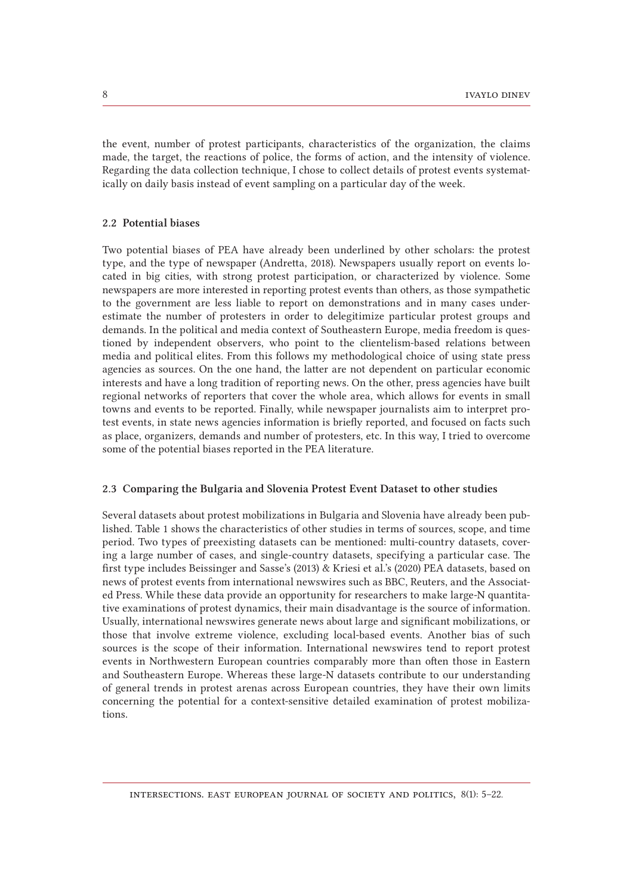the event, number of protest participants, characteristics of the organization, the claims made, the target, the reactions of police, the forms of action, and the intensity of violence. Regarding the data collection technique, I chose to collect details of protest events systematically on daily basis instead of event sampling on a particular day of the week.

## 2.2 Potential biases

Two potential biases of PEA have already been underlined by other scholars: the protest type, and the type of newspaper (Andretta, 2018). Newspapers usually report on events located in big cities, with strong protest participation, or characterized by violence. Some newspapers are more interested in reporting protest events than others, as those sympathetic to the government are less liable to report on demonstrations and in many cases underestimate the number of protesters in order to delegitimize particular protest groups and demands. In the political and media context of Southeastern Europe, media freedom is questioned by independent observers, who point to the clientelism-based relations between media and political elites. From this follows my methodological choice of using state press agencies as sources. On the one hand, the latter are not dependent on particular economic interests and have a long tradition of reporting news. On the other, press agencies have built regional networks of reporters that cover the whole area, which allows for events in small towns and events to be reported. Finally, while newspaper journalists aim to interpret protest events, in state news agencies information is briefly reported, and focused on facts such as place, organizers, demands and number of protesters, etc. In this way, I tried to overcome some of the potential biases reported in the PEA literature.

## 2.3 Comparing the Bulgaria and Slovenia Protest Event Dataset to other studies

Several datasets about protest mobilizations in Bulgaria and Slovenia have already been published. Table 1 shows the characteristics of other studies in terms of sources, scope, and time period. Two types of preexisting datasets can be mentioned: multi-country datasets, covering a large number of cases, and single-country datasets, specifying a particular case. The first type includes Beissinger and Sasse's (2013) & Kriesi et al.'s (2020) PEA datasets, based on news of protest events from international newswires such as BBC, Reuters, and the Associated Press. While these data provide an opportunity for researchers to make large-N quantitative examinations of protest dynamics, their main disadvantage is the source of information. Usually, international newswires generate news about large and significant mobilizations, or those that involve extreme violence, excluding local-based events. Another bias of such sources is the scope of their information. International newswires tend to report protest events in Northwestern European countries comparably more than often those in Eastern and Southeastern Europe. Whereas these large-N datasets contribute to our understanding of general trends in protest arenas across European countries, they have their own limits concerning the potential for a context-sensitive detailed examination of protest mobilizations.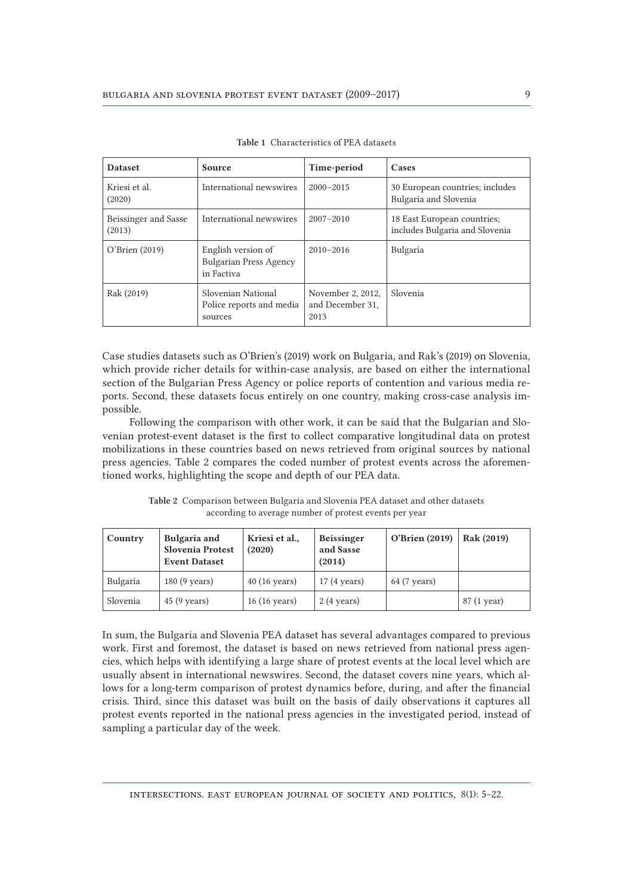| <b>Dataset</b>                 | Source                                                            | Time-period                                   | Cases                                                         |
|--------------------------------|-------------------------------------------------------------------|-----------------------------------------------|---------------------------------------------------------------|
| Kriesi et al.<br>(2020)        | International newswires                                           | $2000 - 2015$                                 | 30 European countries; includes<br>Bulgaria and Slovenia      |
| Beissinger and Sasse<br>(2013) | International newswires                                           | $2007 - 2010$                                 | 18 East European countries;<br>includes Bulgaria and Slovenia |
| O'Brien (2019)                 | English version of<br><b>Bulgarian Press Agency</b><br>in Factiva | $2010 - 2016$                                 | Bulgaria                                                      |
| Rak (2019)                     | Slovenian National<br>Police reports and media<br>sources         | November 2, 2012,<br>and December 31,<br>2013 | Slovenia                                                      |

Table 1 Characteristics of PEA datasets

Case studies datasets such as O'Brien's (2019) work on Bulgaria, and Rak's (2019) on Slovenia, which provide richer details for within-case analysis, are based on either the international section of the Bulgarian Press Agency or police reports of contention and various media reports. Second, these datasets focus entirely on one country, making cross-case analysis impossible.

Following the comparison with other work, it can be said that the Bulgarian and Slovenian protest-event dataset is the first to collect comparative longitudinal data on protest mobilizations in these countries based on news retrieved from original sources by national press agencies. Table 2 compares the coded number of protest events across the aforementioned works, highlighting the scope and depth of our PEA data.

| Country  | Bulgaria and<br>Slovenia Protest<br><b>Event Dataset</b> | Kriesi et al.,<br>(2020) | <b>Beissinger</b><br>and Sasse<br>(2014) | O'Brien (2019) | Rak (2019)  |
|----------|----------------------------------------------------------|--------------------------|------------------------------------------|----------------|-------------|
| Bulgaria | $180(9 \text{ years})$                                   | $40(16 \text{ years})$   | $17(4 \text{ years})$                    | 64 (7 years)   |             |
| Slovenia | $45(9 \text{ years})$                                    | $16(16 \text{ years})$   | $2(4 \text{ years})$                     |                | 87 (1 year) |

Table 2 Comparison between Bulgaria and Slovenia PEA dataset and other datasets according to average number of protest events per year

In sum, the Bulgaria and Slovenia PEA dataset has several advantages compared to previous work. First and foremost, the dataset is based on news retrieved from national press agencies, which helps with identifying a large share of protest events at the local level which are usually absent in international newswires. Second, the dataset covers nine years, which allows for a long-term comparison of protest dynamics before, during, and after the financial crisis. Third, since this dataset was built on the basis of daily observations it captures all protest events reported in the national press agencies in the investigated period, instead of sampling a particular day of the week.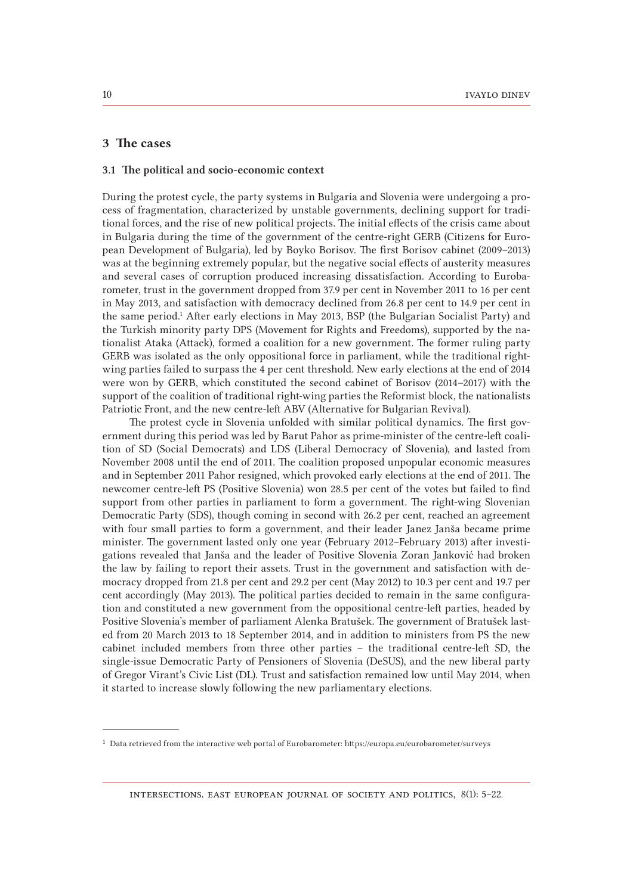### 3 The cases

#### 3.1 The political and socio-economic context

During the protest cycle, the party systems in Bulgaria and Slovenia were undergoing a process of fragmentation, characterized by unstable governments, declining support for traditional forces, and the rise of new political projects. The initial effects of the crisis came about in Bulgaria during the time of the government of the centre-right GERB (Citizens for European Development of Bulgaria), led by Boyko Borisov. The first Borisov cabinet (2009–2013) was at the beginning extremely popular, but the negative social effects of austerity measures and several cases of corruption produced increasing dissatisfaction. According to Eurobarometer, trust in the government dropped from 37.9 per cent in November 2011 to 16 per cent in May 2013, and satisfaction with democracy declined from 26.8 per cent to 14.9 per cent in the same period.<sup>1</sup> After early elections in May 2013, BSP (the Bulgarian Socialist Party) and the Turkish minority party DPS (Movement for Rights and Freedoms), supported by the nationalist Ataka (Attack), formed a coalition for a new government. The former ruling party GERB was isolated as the only oppositional force in parliament, while the traditional rightwing parties failed to surpass the 4 per cent threshold. New early elections at the end of 2014 were won by GERB, which constituted the second cabinet of Borisov (2014–2017) with the support of the coalition of traditional right-wing parties the Reformist block, the nationalists Patriotic Front, and the new centre-left ABV (Alternative for Bulgarian Revival).

The protest cycle in Slovenia unfolded with similar political dynamics. The first government during this period was led by Barut Pahor as prime-minister of the centre-left coalition of SD (Social Democrats) and LDS (Liberal Democracy of Slovenia), and lasted from November 2008 until the end of 2011. The coalition proposed unpopular economic measures and in September 2011 Pahor resigned, which provoked early elections at the end of 2011. The newcomer centre-left PS (Positive Slovenia) won 28.5 per cent of the votes but failed to find support from other parties in parliament to form a government. The right-wing Slovenian Democratic Party (SDS), though coming in second with 26.2 per cent, reached an agreement with four small parties to form a government, and their leader Janez Janša became prime minister. The government lasted only one year (February 2012–February 2013) after investigations revealed that Janša and the leader of Positive Slovenia Zoran Janković had broken the law by failing to report their assets. Trust in the government and satisfaction with democracy dropped from 21.8 per cent and 29.2 per cent (May 2012) to 10.3 per cent and 19.7 per cent accordingly (May 2013). The political parties decided to remain in the same configuration and constituted a new government from the oppositional centre-left parties, headed by Positive Slovenia's member of parliament Alenka Bratušek. The government of Bratušek lasted from 20 March 2013 to 18 September 2014, and in addition to ministers from PS the new cabinet included members from three other parties – the traditional centre-left SD, the single-issue Democratic Party of Pensioners of Slovenia (DeSUS), and the new liberal party of Gregor Virant's Civic List (DL). Trust and satisfaction remained low until May 2014, when it started to increase slowly following the new parliamentary elections.

<sup>1</sup> Data retrieved from the interactive web portal of Eurobarometer: https://europa.eu/eurobarometer/surveys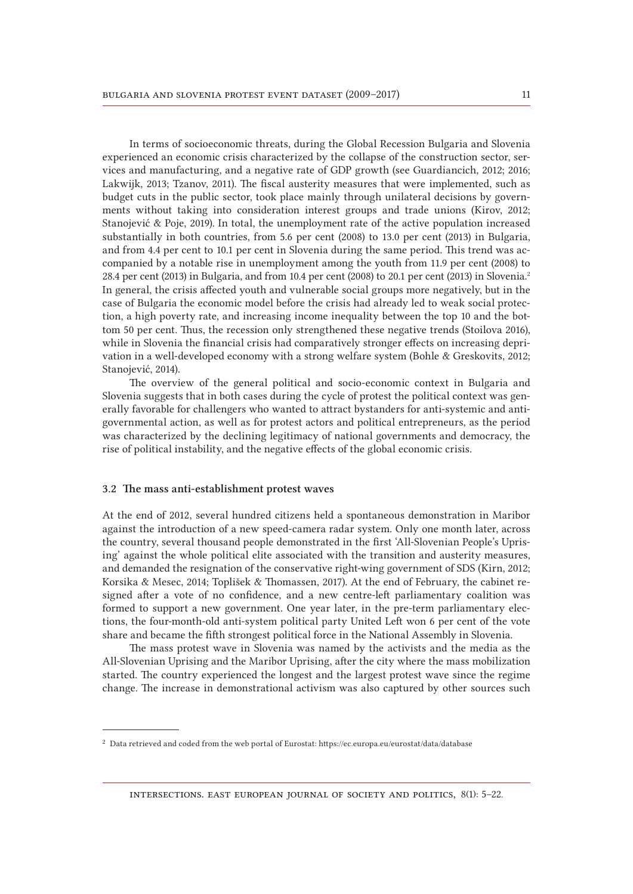In terms of socioeconomic threats, during the Global Recession Bulgaria and Slovenia experienced an economic crisis characterized by the collapse of the construction sector, services and manufacturing, and a negative rate of GDP growth (see Guardiancich, 2012; 2016; Lakwijk, 2013; Tzanov, 2011). The fiscal austerity measures that were implemented, such as budget cuts in the public sector, took place mainly through unilateral decisions by governments without taking into consideration interest groups and trade unions (Kirov, 2012; Stanojević & Poje, 2019). In total, the unemployment rate of the active population increased substantially in both countries, from 5.6 per cent (2008) to 13.0 per cent (2013) in Bulgaria, and from 4.4 per cent to 10.1 per cent in Slovenia during the same period. This trend was accompanied by a notable rise in unemployment among the youth from 11.9 per cent (2008) to 28.4 per cent (2013) in Bulgaria, and from 10.4 per cent (2008) to 20.1 per cent (2013) in Slovenia.<sup>2</sup> In general, the crisis affected youth and vulnerable social groups more negatively, but in the case of Bulgaria the economic model before the crisis had already led to weak social protection, a high poverty rate, and increasing income inequality between the top 10 and the bottom 50 per cent. Thus, the recession only strengthened these negative trends (Stoilova 2016), while in Slovenia the financial crisis had comparatively stronger effects on increasing deprivation in a well-developed economy with a strong welfare system (Bohle & Greskovits, 2012; Stanojević, 2014).

The overview of the general political and socio-economic context in Bulgaria and Slovenia suggests that in both cases during the cycle of protest the political context was generally favorable for challengers who wanted to attract bystanders for anti-systemic and antigovernmental action, as well as for protest actors and political entrepreneurs, as the period was characterized by the declining legitimacy of national governments and democracy, the rise of political instability, and the negative effects of the global economic crisis.

#### 3.2 The mass anti-establishment protest waves

At the end of 2012, several hundred citizens held a spontaneous demonstration in Maribor against the introduction of a new speed-camera radar system. Only one month later, across the country, several thousand people demonstrated in the first 'All-Slovenian People's Uprising' against the whole political elite associated with the transition and austerity measures, and demanded the resignation of the conservative right-wing government of SDS (Kirn, 2012; Korsika & Mesec, 2014; Toplišek & Thomassen, 2017). At the end of February, the cabinet resigned after a vote of no confidence, and a new centre-left parliamentary coalition was formed to support a new government. One year later, in the pre-term parliamentary elections, the four-month-old anti-system political party United Left won 6 per cent of the vote share and became the fifth strongest political force in the National Assembly in Slovenia.

The mass protest wave in Slovenia was named by the activists and the media as the All-Slovenian Uprising and the Maribor Uprising, after the city where the mass mobilization started. The country experienced the longest and the largest protest wave since the regime change. The increase in demonstrational activism was also captured by other sources such

<sup>2</sup> Data retrieved and coded from the web portal of Eurostat: https://ec.europa.eu/eurostat/data/database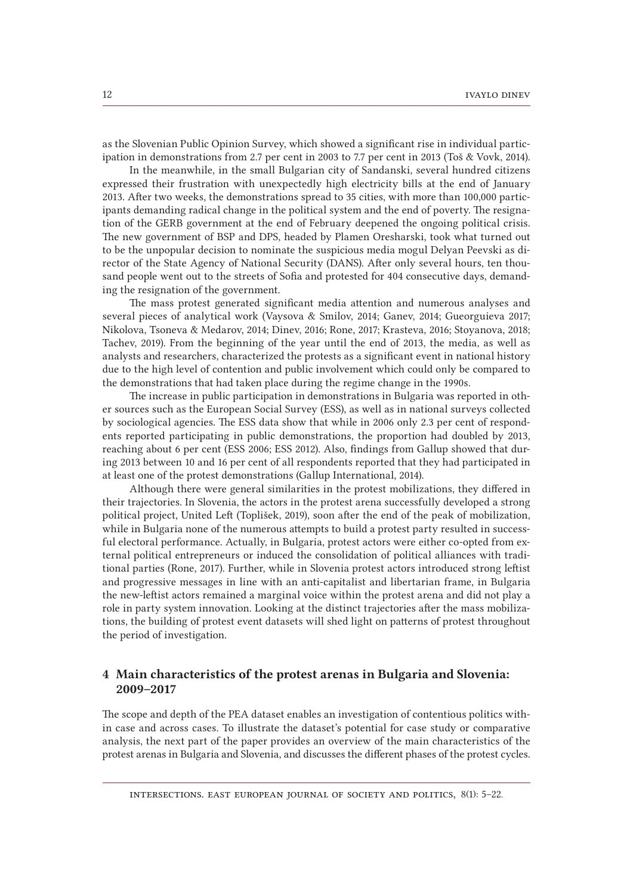as the Slovenian Public Opinion Survey, which showed a significant rise in individual participation in demonstrations from 2.7 per cent in 2003 to 7.7 per cent in 2013 (Toš & Vovk, 2014).

In the meanwhile, in the small Bulgarian city of Sandanski, several hundred citizens expressed their frustration with unexpectedly high electricity bills at the end of January 2013. After two weeks, the demonstrations spread to 35 cities, with more than 100,000 participants demanding radical change in the political system and the end of poverty. The resignation of the GERB government at the end of February deepened the ongoing political crisis. The new government of BSP and DPS, headed by Plamen Oresharski, took what turned out to be the unpopular decision to nominate the suspicious media mogul Delyan Peevski as director of the State Agency of National Security (DANS). After only several hours, ten thousand people went out to the streets of Sofia and protested for 404 consecutive days, demanding the resignation of the government.

The mass protest generated significant media attention and numerous analyses and several pieces of analytical work (Vaysova & Smilov, 2014; Ganev, 2014; Gueorguieva 2017; Nikolova, Tsoneva & Medarov, 2014; Dinev, 2016; Rone, 2017; Krasteva, 2016; Stoyanova, 2018; Tachev, 2019). From the beginning of the year until the end of 2013, the media, as well as analysts and researchers, characterized the protests as a significant event in national history due to the high level of contention and public involvement which could only be compared to the demonstrations that had taken place during the regime change in the 1990s.

The increase in public participation in demonstrations in Bulgaria was reported in other sources such as the European Social Survey (ESS), as well as in national surveys collected by sociological agencies. The ESS data show that while in 2006 only 2.3 per cent of respondents reported participating in public demonstrations, the proportion had doubled by 2013, reaching about 6 per cent (ESS 2006; ESS 2012). Also, findings from Gallup showed that during 2013 between 10 and 16 per cent of all respondents reported that they had participated in at least one of the protest demonstrations (Gallup International, 2014).

Although there were general similarities in the protest mobilizations, they differed in their trajectories. In Slovenia, the actors in the protest arena successfully developed a strong political project, United Left (Toplišek, 2019), soon after the end of the peak of mobilization, while in Bulgaria none of the numerous attempts to build a protest party resulted in successful electoral performance. Actually, in Bulgaria, protest actors were either co-opted from external political entrepreneurs or induced the consolidation of political alliances with traditional parties (Rone, 2017). Further, while in Slovenia protest actors introduced strong leftist and progressive messages in line with an anti-capitalist and libertarian frame, in Bulgaria the new-leftist actors remained a marginal voice within the protest arena and did not play a role in party system innovation. Looking at the distinct trajectories after the mass mobilizations, the building of protest event datasets will shed light on patterns of protest throughout the period of investigation.

# 4 Main characteristics of the protest arenas in Bulgaria and Slovenia: 2009–2017

The scope and depth of the PEA dataset enables an investigation of contentious politics within case and across cases. To illustrate the dataset's potential for case study or comparative analysis, the next part of the paper provides an overview of the main characteristics of the protest arenas in Bulgaria and Slovenia, and discusses the different phases of the protest cycles.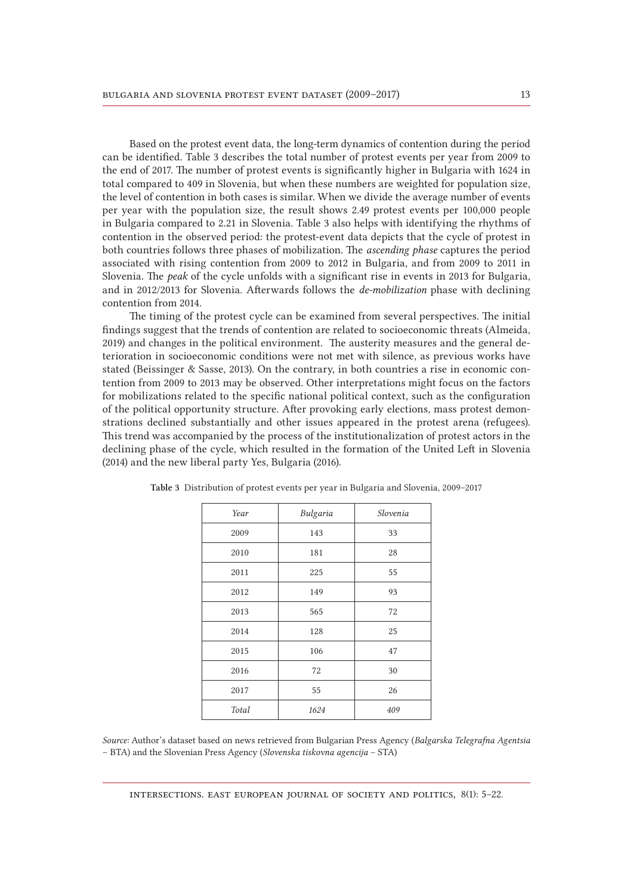Based on the protest event data, the long-term dynamics of contention during the period can be identified. Table 3 describes the total number of protest events per year from 2009 to the end of 2017. The number of protest events is significantly higher in Bulgaria with 1624 in total compared to 409 in Slovenia, but when these numbers are weighted for population size, the level of contention in both cases is similar. When we divide the average number of events per year with the population size, the result shows 2.49 protest events per 100,000 people in Bulgaria compared to 2.21 in Slovenia. Table 3 also helps with identifying the rhythms of contention in the observed period: the protest-event data depicts that the cycle of protest in both countries follows three phases of mobilization. The *ascending phase* captures the period associated with rising contention from 2009 to 2012 in Bulgaria, and from 2009 to 2011 in Slovenia. The *peak* of the cycle unfolds with a significant rise in events in 2013 for Bulgaria, and in 2012/2013 for Slovenia. Afterwards follows the *de-mobilization* phase with declining contention from 2014.

The timing of the protest cycle can be examined from several perspectives. The initial findings suggest that the trends of contention are related to socioeconomic threats (Almeida, 2019) and changes in the political environment. The austerity measures and the general deterioration in socioeconomic conditions were not met with silence, as previous works have stated (Beissinger & Sasse, 2013). On the contrary, in both countries a rise in economic contention from 2009 to 2013 may be observed. Other interpretations might focus on the factors for mobilizations related to the specific national political context, such as the configuration of the political opportunity structure. After provoking early elections, mass protest demonstrations declined substantially and other issues appeared in the protest arena (refugees). This trend was accompanied by the process of the institutionalization of protest actors in the declining phase of the cycle, which resulted in the formation of the United Left in Slovenia (2014) and the new liberal party Yes, Bulgaria (2016).

| Year  | Bulgaria | Slovenia |
|-------|----------|----------|
| 2009  | 143      | 33       |
| 2010  | 181      | 28       |
| 2011  | 225      | 55       |
| 2012  | 149      | 93       |
| 2013  | 565      | 72       |
| 2014  | 128      | 25       |
| 2015  | 106      | 47       |
| 2016  | 72       | 30       |
| 2017  | 55       | 26       |
| Total | 1624     | 409      |
|       |          |          |

Table 3 Distribution of protest events per year in Bulgaria and Slovenia, 2009–2017

*Source:* Author's dataset based on news retrieved from Bulgarian Press Agency (*Balgarska Telegrafna Agentsia* – BTA) and the Slovenian Press Agency (*Slovenska tiskovna agencija* – STA)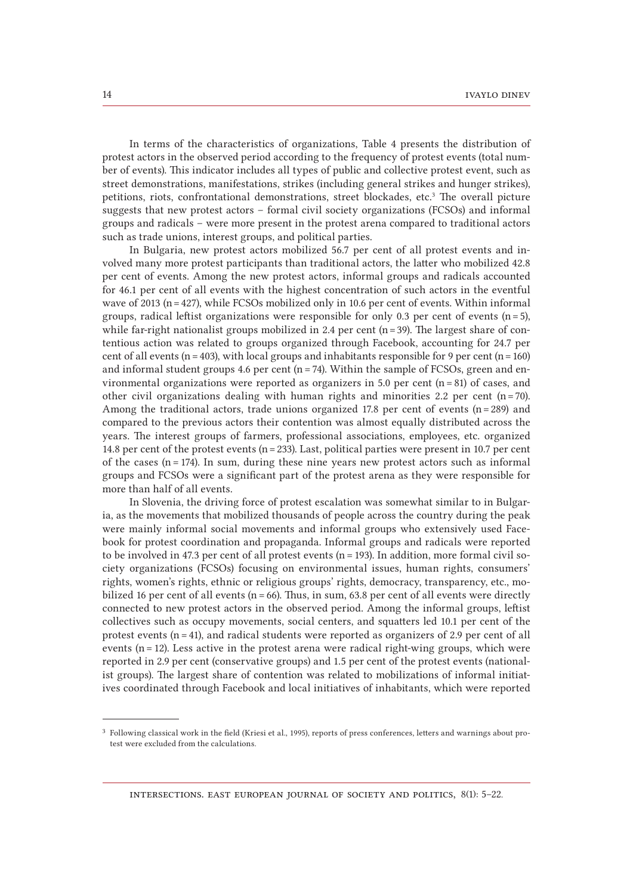In terms of the characteristics of organizations, Table 4 presents the distribution of protest actors in the observed period according to the frequency of protest events (total number of events). This indicator includes all types of public and collective protest event, such as street demonstrations, manifestations, strikes (including general strikes and hunger strikes), petitions, riots, confrontational demonstrations, street blockades, etc.<sup>3</sup> The overall picture suggests that new protest actors – formal civil society organizations (FCSOs) and informal groups and radicals – were more present in the protest arena compared to traditional actors such as trade unions, interest groups, and political parties.

In Bulgaria, new protest actors mobilized 56.7 per cent of all protest events and involved many more protest participants than traditional actors, the latter who mobilized 42.8 per cent of events. Among the new protest actors, informal groups and radicals accounted for 46.1 per cent of all events with the highest concentration of such actors in the eventful wave of 2013 (n = 427), while FCSOs mobilized only in 10.6 per cent of events. Within informal groups, radical leftist organizations were responsible for only 0.3 per cent of events  $(n=5)$ , while far-right nationalist groups mobilized in 2.4 per cent  $(n=39)$ . The largest share of contentious action was related to groups organized through Facebook, accounting for 24.7 per cent of all events (n = 403), with local groups and inhabitants responsible for 9 per cent (n = 160) and informal student groups 4.6 per cent ( $n = 74$ ). Within the sample of FCSOs, green and environmental organizations were reported as organizers in 5.0 per cent  $(n = 81)$  of cases, and other civil organizations dealing with human rights and minorities 2.2 per cent  $(n=70)$ . Among the traditional actors, trade unions organized 17.8 per cent of events  $(n=289)$  and compared to the previous actors their contention was almost equally distributed across the years. The interest groups of farmers, professional associations, employees, etc. organized 14.8 per cent of the protest events (n = 233). Last, political parties were present in 10.7 per cent of the cases  $(n=174)$ . In sum, during these nine years new protest actors such as informal groups and FCSOs were a significant part of the protest arena as they were responsible for more than half of all events.

In Slovenia, the driving force of protest escalation was somewhat similar to in Bulgaria, as the movements that mobilized thousands of people across the country during the peak were mainly informal social movements and informal groups who extensively used Facebook for protest coordination and propaganda. Informal groups and radicals were reported to be involved in 47.3 per cent of all protest events ( $n = 193$ ). In addition, more formal civil society organizations (FCSOs) focusing on environmental issues, human rights, consumers' rights, women's rights, ethnic or religious groups' rights, democracy, transparency, etc., mobilized 16 per cent of all events ( $n = 66$ ). Thus, in sum, 63.8 per cent of all events were directly connected to new protest actors in the observed period. Among the informal groups, leftist collectives such as occupy movements, social centers, and squatters led 10.1 per cent of the protest events  $(n=41)$ , and radical students were reported as organizers of 2.9 per cent of all events  $(n=12)$ . Less active in the protest arena were radical right-wing groups, which were reported in 2.9 per cent (conservative groups) and 1.5 per cent of the protest events (nationalist groups). The largest share of contention was related to mobilizations of informal initiatives coordinated through Facebook and local initiatives of inhabitants, which were reported

<sup>3</sup> Following classical work in the field (Kriesi et al., 1995), reports of press conferences, letters and warnings about protest were excluded from the calculations.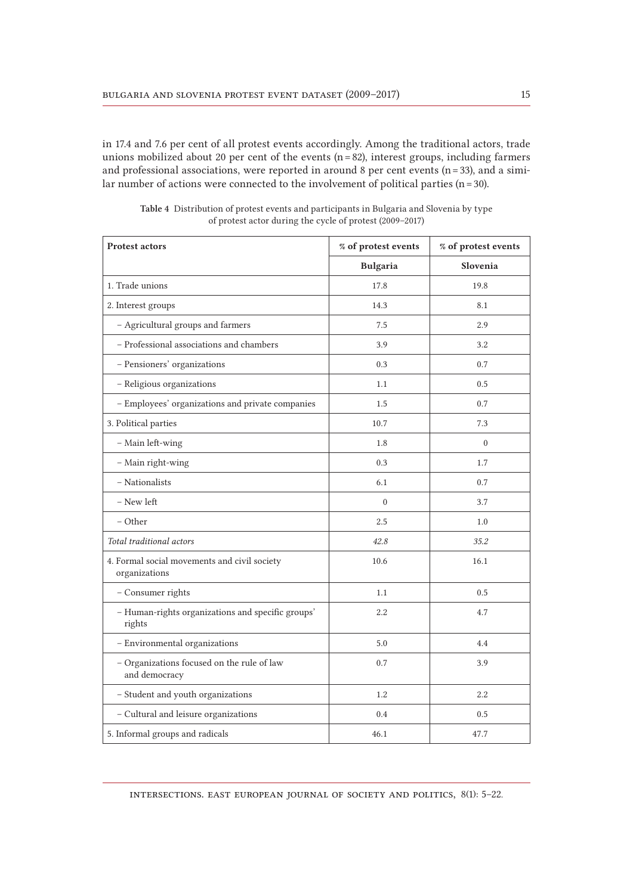in 17.4 and 7.6 per cent of all protest events accordingly. Among the traditional actors, trade unions mobilized about 20 per cent of the events  $(n=82)$ , interest groups, including farmers and professional associations, were reported in around 8 per cent events ( $n=33$ ), and a similar number of actions were connected to the involvement of political parties ( $n = 30$ ).

| <b>Protest actors</b>                                         | % of protest events | % of protest events |
|---------------------------------------------------------------|---------------------|---------------------|
|                                                               | <b>Bulgaria</b>     | Slovenia            |
| 1. Trade unions                                               | 17.8                | 19.8                |
| 2. Interest groups                                            | 14.3                | 8.1                 |
| - Agricultural groups and farmers                             | 7.5                 | 2.9                 |
| - Professional associations and chambers                      | 3.9                 | 3.2                 |
| - Pensioners' organizations                                   | 0.3                 | 0.7                 |
| - Religious organizations                                     | 1.1                 | 0.5                 |
| - Employees' organizations and private companies              | 1.5                 | 0.7                 |
| 3. Political parties                                          | 10.7                | 7.3                 |
| - Main left-wing                                              | 1.8                 | $\theta$            |
| - Main right-wing                                             | 0.3                 | 1.7                 |
| - Nationalists                                                | 6.1                 | 0.7                 |
| - New left                                                    | $\overline{0}$      | 3.7                 |
| - Other                                                       | 2.5                 | 1.0                 |
| Total traditional actors                                      | 42.8                | 35.2                |
| 4. Formal social movements and civil society<br>organizations | 10.6                | 16.1                |
| - Consumer rights                                             | 1.1                 | 0.5                 |
| - Human-rights organizations and specific groups'<br>rights   | 2.2                 | 4.7                 |
| - Environmental organizations                                 | 5.0                 | 4.4                 |
| - Organizations focused on the rule of law<br>and democracy   | 0.7                 | 3.9                 |
| - Student and youth organizations                             | 1.2                 | 2.2                 |
| - Cultural and leisure organizations                          | 0.4                 | 0.5                 |
| 5. Informal groups and radicals                               | 46.1                | 47.7                |

Table 4 Distribution of protest events and participants in Bulgaria and Slovenia by type of protest actor during the cycle of protest (2009–2017)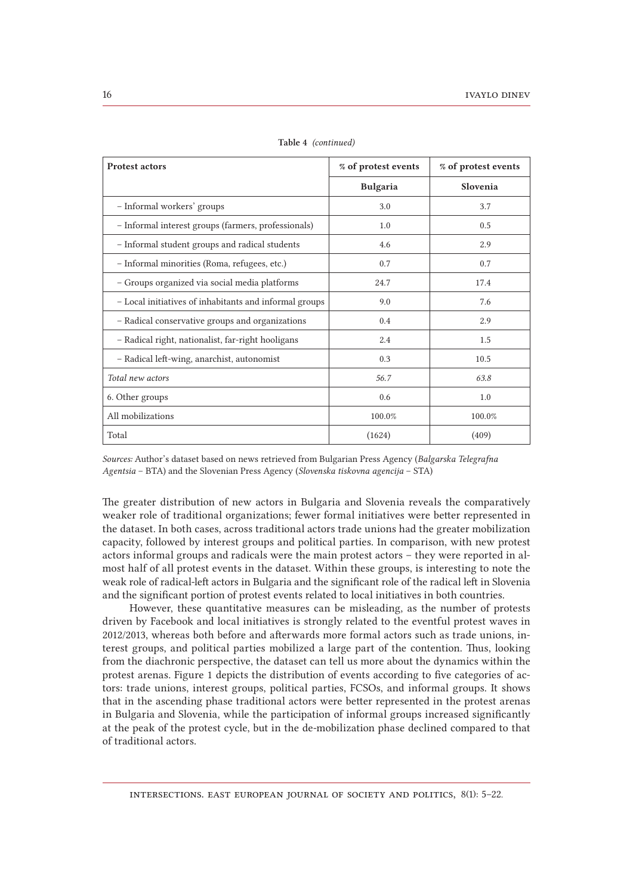| <b>Protest actors</b>                                  | % of protest events | % of protest events |
|--------------------------------------------------------|---------------------|---------------------|
|                                                        | <b>Bulgaria</b>     | Slovenia            |
| - Informal workers' groups                             | 3.0                 | 3.7                 |
| - Informal interest groups (farmers, professionals)    | 1.0                 | 0.5                 |
| - Informal student groups and radical students         | 4.6                 | 2.9                 |
| - Informal minorities (Roma, refugees, etc.)           | 0.7                 | 0.7                 |
| - Groups organized via social media platforms          | 24.7                | 17.4                |
| - Local initiatives of inhabitants and informal groups | 9.0                 | 7.6                 |
| - Radical conservative groups and organizations        | 0.4                 | 2.9                 |
| - Radical right, nationalist, far-right hooligans      | 2.4                 | 1.5                 |
| - Radical left-wing, anarchist, autonomist             | 0.3                 | 10.5                |
| Total new actors                                       | 56.7                | 63.8                |
| 6. Other groups                                        | 0.6                 | 1.0                 |
| All mobilizations                                      | 100.0%              | 100.0%              |
| Total                                                  | (1624)              | (409)               |

Table 4 *(continued)*

*Sources:* Author's dataset based on news retrieved from Bulgarian Press Agency (*Balgarska Telegrafna Agentsia* – BTA) and the Slovenian Press Agency (*Slovenska tiskovna agencija* – STA)

The greater distribution of new actors in Bulgaria and Slovenia reveals the comparatively weaker role of traditional organizations; fewer formal initiatives were better represented in the dataset. In both cases, across traditional actors trade unions had the greater mobilization capacity, followed by interest groups and political parties. In comparison, with new protest actors informal groups and radicals were the main protest actors – they were reported in almost half of all protest events in the dataset. Within these groups, is interesting to note the weak role of radical-left actors in Bulgaria and the significant role of the radical left in Slovenia and the significant portion of protest events related to local initiatives in both countries.

However, these quantitative measures can be misleading, as the number of protests driven by Facebook and local initiatives is strongly related to the eventful protest waves in 2012/2013, whereas both before and afterwards more formal actors such as trade unions, interest groups, and political parties mobilized a large part of the contention. Thus, looking from the diachronic perspective, the dataset can tell us more about the dynamics within the protest arenas. Figure 1 depicts the distribution of events according to five categories of actors: trade unions, interest groups, political parties, FCSOs, and informal groups. It shows that in the ascending phase traditional actors were better represented in the protest arenas in Bulgaria and Slovenia, while the participation of informal groups increased significantly at the peak of the protest cycle, but in the de-mobilization phase declined compared to that of traditional actors.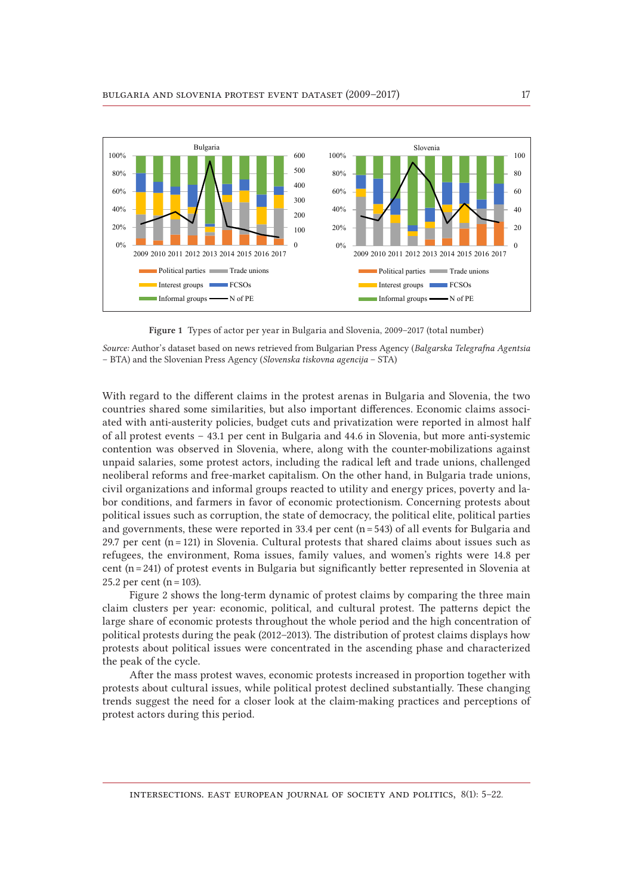



*Source:* Author's dataset based on news retrieved from Bulgarian Press Agency (*Balgarska Telegrafna Agentsia* – BTA) and the Slovenian Press Agency (*Slovenska tiskovna agencija* – STA)

With regard to the different claims in the protest arenas in Bulgaria and Slovenia, the two countries shared some similarities, but also important differences. Economic claims associated with anti-austerity policies, budget cuts and privatization were reported in almost half of all protest events – 43.1 per cent in Bulgaria and 44.6 in Slovenia, but more anti-systemic contention was observed in Slovenia, where, along with the counter-mobilizations against unpaid salaries, some protest actors, including the radical left and trade unions, challenged neoliberal reforms and free-market capitalism. On the other hand, in Bulgaria trade unions, civil organizations and informal groups reacted to utility and energy prices, poverty and labor conditions, and farmers in favor of economic protectionism. Concerning protests about political issues such as corruption, the state of democracy, the political elite, political parties and governments, these were reported in 33.4 per cent ( $n = 543$ ) of all events for Bulgaria and 29.7 per cent  $(n=121)$  in Slovenia. Cultural protests that shared claims about issues such as refugees, the environment, Roma issues, family values, and women's rights were 14.8 per cent (n = 241) of protest events in Bulgaria but significantly better represented in Slovenia at 25.2 per cent ( $n = 103$ ).

Figure 2 shows the long-term dynamic of protest claims by comparing the three main claim clusters per year: economic, political, and cultural protest. The patterns depict the large share of economic protests throughout the whole period and the high concentration of political protests during the peak (2012–2013). The distribution of protest claims displays how protests about political issues were concentrated in the ascending phase and characterized the peak of the cycle.

After the mass protest waves, economic protests increased in proportion together with protests about cultural issues, while political protest declined substantially. These changing trends suggest the need for a closer look at the claim-making practices and perceptions of protest actors during this period.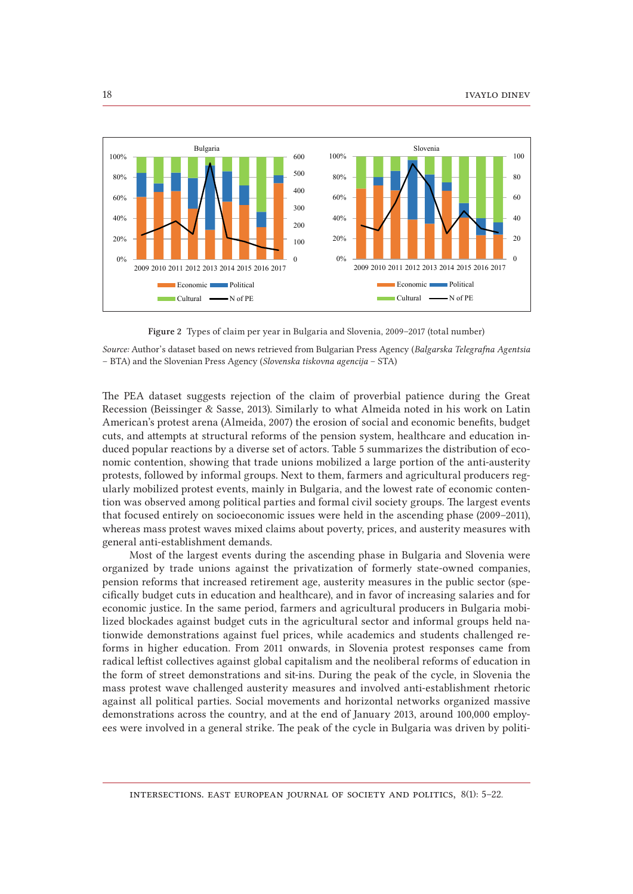

Figure 2 Types of claim per year in Bulgaria and Slovenia, 2009–2017 (total number)

*Source:* Author's dataset based on news retrieved from Bulgarian Press Agency (*Balgarska Telegrafna Agentsia* – BTA) and the Slovenian Press Agency (*Slovenska tiskovna agencija* – STA)

The PEA dataset suggests rejection of the claim of proverbial patience during the Great Recession (Beissinger & Sasse, 2013). Similarly to what Almeida noted in his work on Latin American's protest arena (Almeida, 2007) the erosion of social and economic benefits, budget cuts, and attempts at structural reforms of the pension system, healthcare and education induced popular reactions by a diverse set of actors. Table 5 summarizes the distribution of economic contention, showing that trade unions mobilized a large portion of the anti-austerity protests, followed by informal groups. Next to them, farmers and agricultural producers regularly mobilized protest events, mainly in Bulgaria, and the lowest rate of economic contention was observed among political parties and formal civil society groups. The largest events that focused entirely on socioeconomic issues were held in the ascending phase (2009–2011), whereas mass protest waves mixed claims about poverty, prices, and austerity measures with general anti-establishment demands.

Most of the largest events during the ascending phase in Bulgaria and Slovenia were organized by trade unions against the privatization of formerly state-owned companies, pension reforms that increased retirement age, austerity measures in the public sector (specifically budget cuts in education and healthcare), and in favor of increasing salaries and for economic justice. In the same period, farmers and agricultural producers in Bulgaria mobilized blockades against budget cuts in the agricultural sector and informal groups held nationwide demonstrations against fuel prices, while academics and students challenged reforms in higher education. From 2011 onwards, in Slovenia protest responses came from radical leftist collectives against global capitalism and the neoliberal reforms of education in the form of street demonstrations and sit-ins. During the peak of the cycle, in Slovenia the mass protest wave challenged austerity measures and involved anti-establishment rhetoric against all political parties. Social movements and horizontal networks organized massive demonstrations across the country, and at the end of January 2013, around 100,000 employees were involved in a general strike. The peak of the cycle in Bulgaria was driven by politi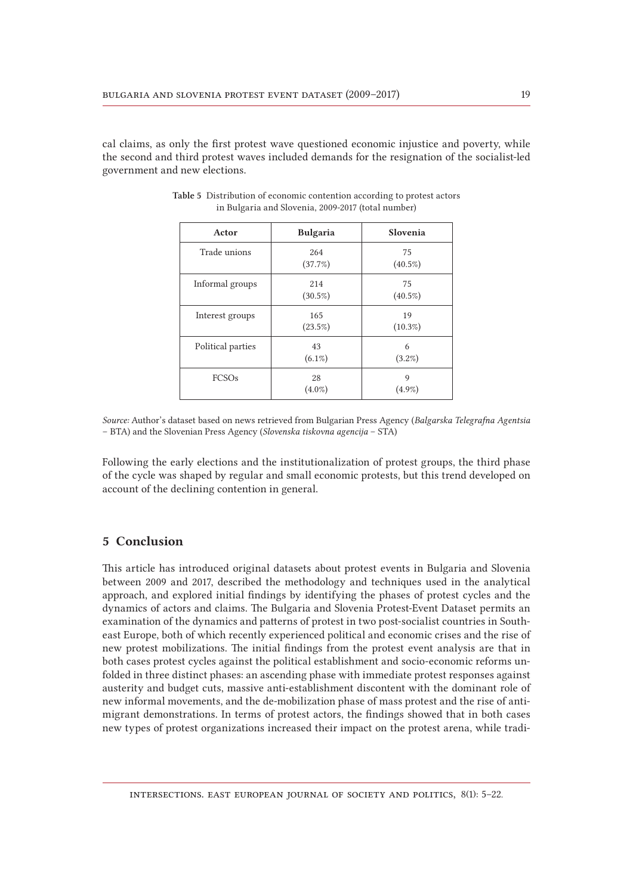cal claims, as only the first protest wave questioned economic injustice and poverty, while the second and third protest waves included demands for the resignation of the socialist-led government and new elections.

| Actor             | <b>Bulgaria</b>   | Slovenia         |
|-------------------|-------------------|------------------|
| Trade unions      | 264<br>(37.7%)    | 75<br>$(40.5\%)$ |
| Informal groups   | 214<br>$(30.5\%)$ | 75<br>$(40.5\%)$ |
| Interest groups   | 165<br>$(23.5\%)$ | 19<br>$(10.3\%)$ |
| Political parties | 43<br>$(6.1\%)$   | 6<br>$(3.2\%)$   |
| FCSOs             | 28<br>$(4.0\%)$   | 9<br>$(4.9\%)$   |

| Table 5 Distribution of economic contention according to protest actors |
|-------------------------------------------------------------------------|
| in Bulgaria and Slovenia, 2009-2017 (total number)                      |

*Source:* Author's dataset based on news retrieved from Bulgarian Press Agency (*Balgarska Telegrafna Agentsia*  – BTA) and the Slovenian Press Agency (*Slovenska tiskovna agencija* – STA)

Following the early elections and the institutionalization of protest groups, the third phase of the cycle was shaped by regular and small economic protests, but this trend developed on account of the declining contention in general.

# 5 Conclusion

This article has introduced original datasets about protest events in Bulgaria and Slovenia between 2009 and 2017, described the methodology and techniques used in the analytical approach, and explored initial findings by identifying the phases of protest cycles and the dynamics of actors and claims. The Bulgaria and Slovenia Protest-Event Dataset permits an examination of the dynamics and patterns of protest in two post-socialist countries in Southeast Europe, both of which recently experienced political and economic crises and the rise of new protest mobilizations. The initial findings from the protest event analysis are that in both cases protest cycles against the political establishment and socio-economic reforms unfolded in three distinct phases: an ascending phase with immediate protest responses against austerity and budget cuts, massive anti-establishment discontent with the dominant role of new informal movements, and the de-mobilization phase of mass protest and the rise of antimigrant demonstrations. In terms of protest actors, the findings showed that in both cases new types of protest organizations increased their impact on the protest arena, while tradi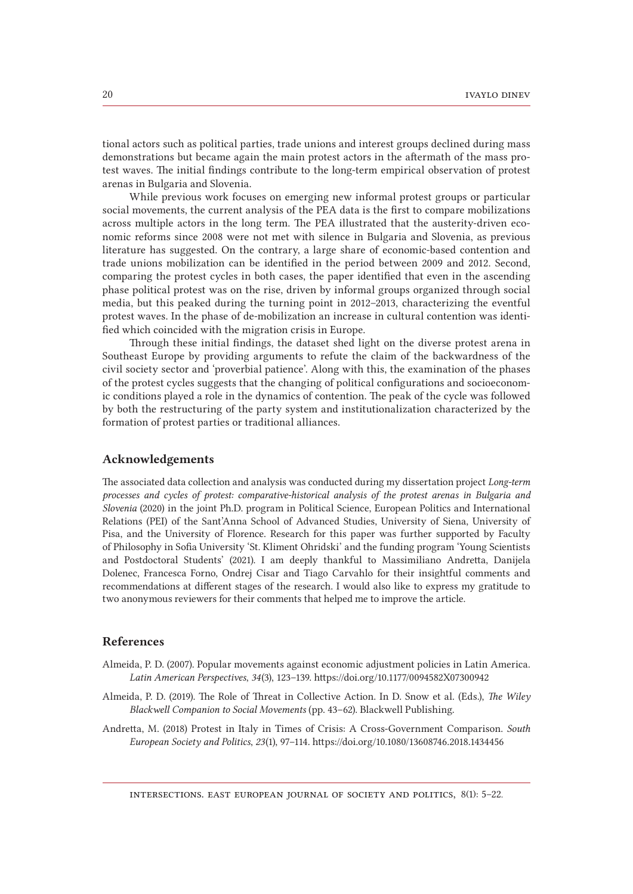tional actors such as political parties, trade unions and interest groups declined during mass demonstrations but became again the main protest actors in the aftermath of the mass protest waves. The initial findings contribute to the long-term empirical observation of protest arenas in Bulgaria and Slovenia.

While previous work focuses on emerging new informal protest groups or particular social movements, the current analysis of the PEA data is the first to compare mobilizations across multiple actors in the long term. The PEA illustrated that the austerity-driven economic reforms since 2008 were not met with silence in Bulgaria and Slovenia, as previous literature has suggested. On the contrary, a large share of economic-based contention and trade unions mobilization can be identified in the period between 2009 and 2012. Second, comparing the protest cycles in both cases, the paper identified that even in the ascending phase political protest was on the rise, driven by informal groups organized through social media, but this peaked during the turning point in 2012–2013, characterizing the eventful protest waves. In the phase of de-mobilization an increase in cultural contention was identified which coincided with the migration crisis in Europe.

Through these initial findings, the dataset shed light on the diverse protest arena in Southeast Europe by providing arguments to refute the claim of the backwardness of the civil society sector and 'proverbial patience'. Along with this, the examination of the phases of the protest cycles suggests that the changing of political configurations and socioeconomic conditions played a role in the dynamics of contention. The peak of the cycle was followed by both the restructuring of the party system and institutionalization characterized by the formation of protest parties or traditional alliances.

## Acknowledgements

The associated data collection and analysis was conducted during my dissertation project *Long-term processes and cycles of protest: comparative-historical analysis of the protest arenas in Bulgaria and Slovenia* (2020) in the joint Ph.D. program in Political Science, European Politics and International Relations (PEI) of the Sant'Anna School of Advanced Studies, University of Siena, University of Pisa, and the University of Florence. Research for this paper was further supported by Faculty of Philosophy in Sofia University 'St. Kliment Ohridski' and the funding program 'Young Scientists and Postdoctoral Students' (2021). I am deeply thankful to Massimiliano Andretta, Danijela Dolenec, Francesca Forno, Ondrej Cisar and Tiago Carvahlo for their insightful comments and recommendations at different stages of the research. I would also like to express my gratitude to two anonymous reviewers for their comments that helped me to improve the article.

#### References

- Almeida, P. D. (2007). Popular movements against economic adjustment policies in Latin America. *Latin American Perspectives*, *34*(3), 123–139. https://doi.org/10.1177/0094582X07300942
- Almeida, P. D. (2019). The Role of Threat in Collective Action. In D. Snow et al. (Eds.), *The Wiley Blackwell Companion to Social Movements* (pp. 43–62). Blackwell Publishing.
- Andretta, M. (2018) Protest in Italy in Times of Crisis: A Cross-Government Comparison. *South European Society and Politics*, *23*(1), 97–114. https://doi.org/10.1080/13608746.2018.1434456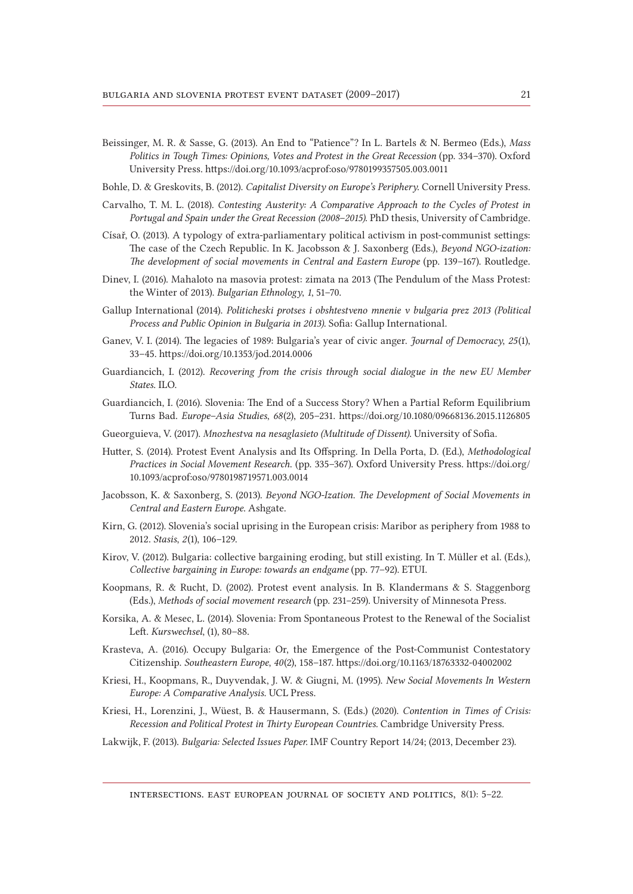Beissinger, M. R. & Sasse, G. (2013). An End to "Patience"? In L. Bartels & N. Bermeo (Eds.), *Mass Politics in Tough Times: Opinions, Votes and Protest in the Great Recession* (pp. 334–370). Oxford University Press. https://doi.org/10.1093/acprof:oso/9780199357505.003.0011

Bohle, D. & Greskovits, B. (2012). *Capitalist Diversity on Europe's Periphery*. Cornell University Press.

- Carvalho, T. M. L. (2018). *Contesting Austerity: A Comparative Approach to the Cycles of Protest in Portugal and Spain under the Great Recession (2008*–*2015)*. PhD thesis, University of Cambridge.
- Císař, O. (2013). A typology of extra-parliamentary political activism in post-communist settings: The case of the Czech Republic. In K. Jacobsson & J. Saxonberg (Eds.), *Beyond NGO-ization: The development of social movements in Central and Eastern Europe* (pp. 139–167). Routledge.
- Dinev, I. (2016). Mahaloto na masovia protest: zimata na 2013 (The Pendulum of the Mass Protest: the Winter of 2013). *Bulgarian Ethnology*, *1*, 51–70.
- Gallup International (2014). *Politicheski protses i obshtestveno mnenie v bulgaria prez 2013 (Political Process and Public Opinion in Bulgaria in 2013)*. Sofia: Gallup International.
- Ganev, V. I. (2014). The legacies of 1989: Bulgaria's year of civic anger. *Journal of Democracy*, *25*(1), 33–45. https://doi.org/10.1353/jod.2014.0006
- Guardiancich, I. (2012). *Recovering from the crisis through social dialogue in the new EU Member States*. ILO.
- Guardiancich, I. (2016). Slovenia: The End of a Success Story? When a Partial Reform Equilibrium Turns Bad. *Europe*–*Asia Studies*, *68*(2), 205–231. https://doi.org/10.1080/09668136.2015.1126805
- Gueorguieva, V. (2017). *Mnozhestva na nesaglasieto (Multitude of Dissent)*. University of Sofia.
- Hutter, S. (2014). Protest Event Analysis and Its Offspring. In Della Porta, D. (Ed.), *Methodological Practices in Social Movement Research*. (pp. 335–367). Oxford University Press. [https://doi.org/](https://doi.org/10.1093/acprof:oso/9780198719571.003.0014) [10.1093/acprof:oso/9780198719571.003.0014](https://doi.org/10.1093/acprof:oso/9780198719571.003.0014)
- Jacobsson, K. & Saxonberg, S. (2013). *Beyond NGO-Ization. The Development of Social Movements in Central and Eastern Europe*. Ashgate.
- Kirn, G. (2012). Slovenia's social uprising in the European crisis: Maribor as periphery from 1988 to 2012. *Stasis*, *2*(1), 106–129.
- Kirov, V. (2012). Bulgaria: collective bargaining eroding, but still existing. In T. Müller et al. (Eds.), *Collective bargaining in Europe: towards an endgame* (pp. 77–92). ETUI.
- Koopmans, R. & Rucht, D. (2002). Protest event analysis. In B. Klandermans & S. Staggenborg (Eds.), *Methods of social movement research* (pp. 231–259). University of Minnesota Press.
- Korsika, A. & Mesec, L. (2014). Slovenia: From Spontaneous Protest to the Renewal of the Socialist Left. *Kurswechsel*, (1), 80–88.
- Krasteva, A. (2016). Occupy Bulgaria: Or, the Emergence of the Post-Communist Contestatory Citizenship. *Southeastern Europe*, *40*(2), 158–187. https://doi.org/10.1163/18763332-04002002
- Kriesi, H., Koopmans, R., Duyvendak, J. W. & Giugni, M. (1995). *New Social Movements In Western Europe: A Comparative Analysis*. UCL Press.
- Kriesi, H., Lorenzini, J., Wüest, B. & Hausermann, S. (Eds.) (2020). *Contention in Times of Crisis: Recession and Political Protest in Thirty European Countries.* Cambridge University Press.
- Lakwijk, F. (2013). *Bulgaria: Selected Issues Paper.* IMF Country Report 14/24; (2013, December 23).